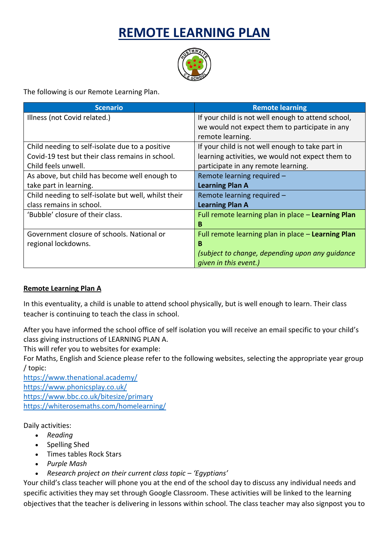## **REMOTE LEARNING PLAN**



The following is our Remote Learning Plan.

| <b>Scenario</b>                                      | <b>Remote learning</b>                             |
|------------------------------------------------------|----------------------------------------------------|
| Illness (not Covid related.)                         | If your child is not well enough to attend school, |
|                                                      | we would not expect them to participate in any     |
|                                                      | remote learning.                                   |
| Child needing to self-isolate due to a positive      | If your child is not well enough to take part in   |
| Covid-19 test but their class remains in school.     | learning activities, we would not expect them to   |
| Child feels unwell.                                  | participate in any remote learning.                |
| As above, but child has become well enough to        | Remote learning required -                         |
| take part in learning.                               | <b>Learning Plan A</b>                             |
| Child needing to self-isolate but well, whilst their | Remote learning required -                         |
| class remains in school.                             | <b>Learning Plan A</b>                             |
| 'Bubble' closure of their class.                     | Full remote learning plan in place - Learning Plan |
|                                                      | B                                                  |
| Government closure of schools. National or           | Full remote learning plan in place - Learning Plan |
| regional lockdowns.                                  | B                                                  |
|                                                      | (subject to change, depending upon any quidance    |
|                                                      | given in this event.)                              |

## **Remote Learning Plan A**

In this eventuality, a child is unable to attend school physically, but is well enough to learn. Their class teacher is continuing to teach the class in school.

After you have informed the school office of self isolation you will receive an email specific to your child's class giving instructions of LEARNING PLAN A.

This will refer you to websites for example:

For Maths, English and Science please refer to the following websites, selecting the appropriate year group / topic:

<https://www.thenational.academy/> <https://www.phonicsplay.co.uk/> <https://www.bbc.co.uk/bitesize/primary> <https://whiterosemaths.com/homelearning/>

Daily activities:

- *Reading*
- Spelling Shed
- Times tables Rock Stars
- *Purple Mash*
- *Research project on their current class topic – 'Egyptians'*

Your child's class teacher will phone you at the end of the school day to discuss any individual needs and specific activities they may set through Google Classroom. These activities will be linked to the learning objectives that the teacher is delivering in lessons within school. The class teacher may also signpost you to